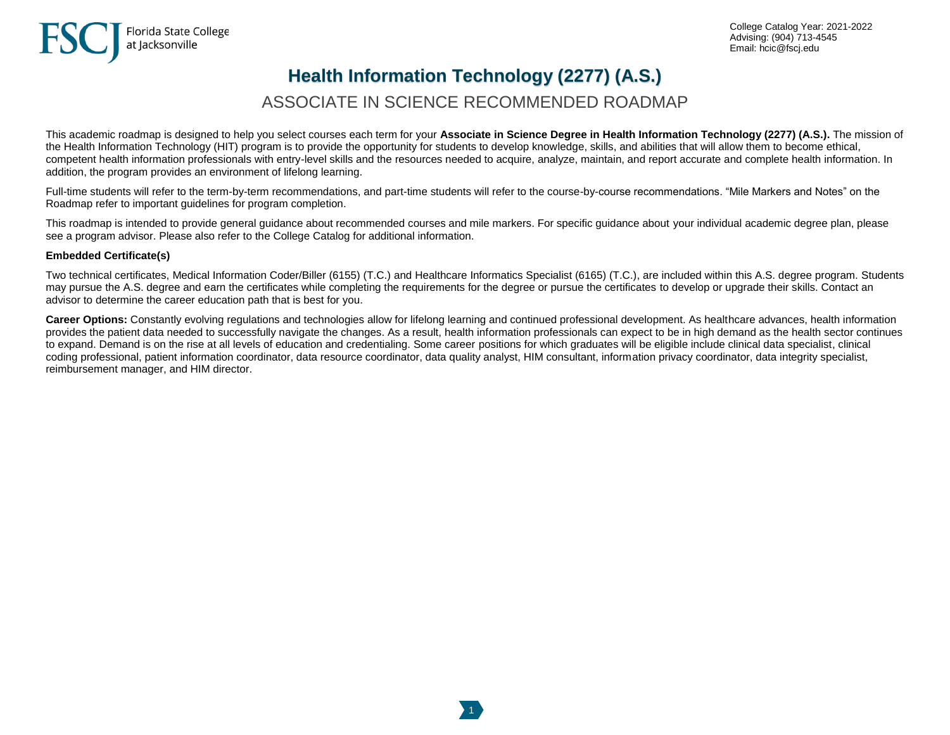# **Health Information Technology (2277) (A.S.)**

## ASSOCIATE IN SCIENCE RECOMMENDED ROADMAP

This academic roadmap is designed to help you select courses each term for your **Associate in Science Degree in Health Information Technology (2277) (A.S.).** The mission of the Health Information Technology (HIT) program is to provide the opportunity for students to develop knowledge, skills, and abilities that will allow them to become ethical, competent health information professionals with entry-level skills and the resources needed to acquire, analyze, maintain, and report accurate and complete health information. In addition, the program provides an environment of lifelong learning.

Full-time students will refer to the term-by-term recommendations, and part-time students will refer to the course-by-course recommendations. "Mile Markers and Notes" on the Roadmap refer to important guidelines for program completion.

This roadmap is intended to provide general guidance about recommended courses and mile markers. For specific guidance about your individual academic degree plan, please see a program advisor. Please also refer to the College Catalog for additional information.

### **Embedded Certificate(s)**

Two technical certificates, Medical Information Coder/Biller (6155) (T.C.) and Healthcare Informatics Specialist (6165) (T.C.), are included within this A.S. degree program. Students may pursue the A.S. degree and earn the certificates while completing the requirements for the degree or pursue the certificates to develop or upgrade their skills. Contact an advisor to determine the career education path that is best for you.

**Career Options:** Constantly evolving regulations and technologies allow for lifelong learning and continued professional development. As healthcare advances, health information provides the patient data needed to successfully navigate the changes. As a result, health information professionals can expect to be in high demand as the health sector continues to expand. Demand is on the rise at all levels of education and credentialing. Some career positions for which graduates will be eligible include clinical data specialist, clinical coding professional, patient information coordinator, data resource coordinator, data quality analyst, HIM consultant, information privacy coordinator, data integrity specialist, reimbursement manager, and HIM director.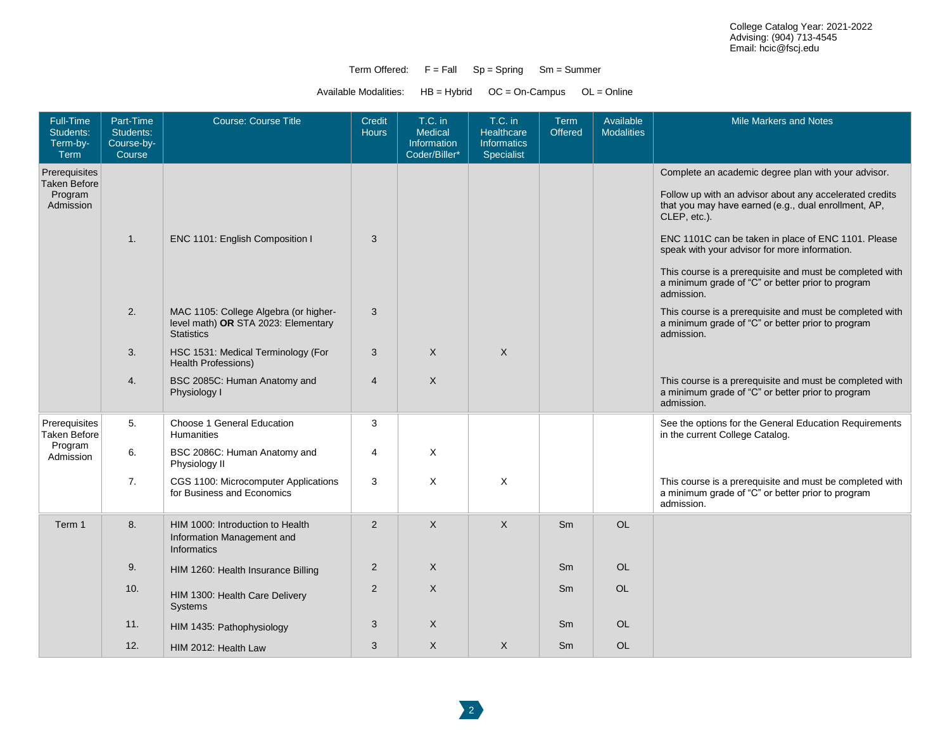### Term Offered:  $F = Fall$   $Sp = Spring$   $Sm = Summer$

Available Modalities: HB = Hybrid OC = On-Campus OL = Online

| Full-Time<br>Students:<br>Term-by-<br>Term                   | Part-Time<br>Students:<br>Course-by-<br>Course | <b>Course: Course Title</b>                                                                       | Credit<br><b>Hours</b> | T.C. in<br><b>Medical</b><br>Information<br>Coder/Biller* | T.C. in<br><b>Healthcare</b><br><b>Informatics</b><br>Specialist | <b>Term</b><br><b>Offered</b> | Available<br><b>Modalities</b> | <b>Mile Markers and Notes</b>                                                                                                   |
|--------------------------------------------------------------|------------------------------------------------|---------------------------------------------------------------------------------------------------|------------------------|-----------------------------------------------------------|------------------------------------------------------------------|-------------------------------|--------------------------------|---------------------------------------------------------------------------------------------------------------------------------|
| Prerequisites<br><b>Taken Before</b>                         |                                                |                                                                                                   |                        |                                                           |                                                                  |                               |                                | Complete an academic degree plan with your advisor.                                                                             |
| Program<br>Admission                                         |                                                |                                                                                                   |                        |                                                           |                                                                  |                               |                                | Follow up with an advisor about any accelerated credits<br>that you may have earned (e.g., dual enrollment, AP,<br>CLEP, etc.). |
|                                                              | 1.                                             | ENC 1101: English Composition I                                                                   | 3                      |                                                           |                                                                  |                               |                                | ENC 1101C can be taken in place of ENC 1101. Please<br>speak with your advisor for more information.                            |
|                                                              |                                                |                                                                                                   |                        |                                                           |                                                                  |                               |                                | This course is a prerequisite and must be completed with<br>a minimum grade of "C" or better prior to program<br>admission.     |
|                                                              | 2.                                             | MAC 1105: College Algebra (or higher-<br>level math) OR STA 2023: Elementary<br><b>Statistics</b> | 3                      |                                                           |                                                                  |                               |                                | This course is a prerequisite and must be completed with<br>a minimum grade of "C" or better prior to program<br>admission.     |
|                                                              | 3.                                             | HSC 1531: Medical Terminology (For<br><b>Health Professions)</b>                                  | 3                      | X                                                         | $\times$                                                         |                               |                                |                                                                                                                                 |
|                                                              | 4.                                             | BSC 2085C: Human Anatomy and<br>Physiology I                                                      | $\overline{4}$         | $\times$                                                  |                                                                  |                               |                                | This course is a prerequisite and must be completed with<br>a minimum grade of "C" or better prior to program<br>admission.     |
| Prerequisites<br><b>Taken Before</b><br>Program<br>Admission | 5.                                             | Choose 1 General Education<br><b>Humanities</b>                                                   | 3                      |                                                           |                                                                  |                               |                                | See the options for the General Education Requirements<br>in the current College Catalog.                                       |
|                                                              | 6.                                             | BSC 2086C: Human Anatomy and<br>Physiology II                                                     | $\overline{4}$         | X                                                         |                                                                  |                               |                                |                                                                                                                                 |
|                                                              | 7.                                             | CGS 1100: Microcomputer Applications<br>for Business and Economics                                | 3                      | X                                                         | $\times$                                                         |                               |                                | This course is a prerequisite and must be completed with<br>a minimum grade of "C" or better prior to program<br>admission.     |
| Term 1                                                       | 8.                                             | HIM 1000: Introduction to Health<br>Information Management and<br>Informatics                     | 2                      | $\mathsf{X}$                                              | $\times$                                                         | Sm                            | <b>OL</b>                      |                                                                                                                                 |
|                                                              | 9.                                             | HIM 1260: Health Insurance Billing                                                                | 2                      | X                                                         |                                                                  | Sm                            | <b>OL</b>                      |                                                                                                                                 |
|                                                              | 10.                                            | HIM 1300: Health Care Delivery<br>Systems                                                         | $\overline{2}$         | X                                                         |                                                                  | S <sub>m</sub>                | OL.                            |                                                                                                                                 |
|                                                              | 11.                                            | HIM 1435: Pathophysiology                                                                         | 3                      | X                                                         |                                                                  | Sm                            | <b>OL</b>                      |                                                                                                                                 |
|                                                              | 12.                                            | HIM 2012: Health Law                                                                              | 3                      | $\sf X$                                                   | $\times$                                                         | S <sub>m</sub>                | <b>OL</b>                      |                                                                                                                                 |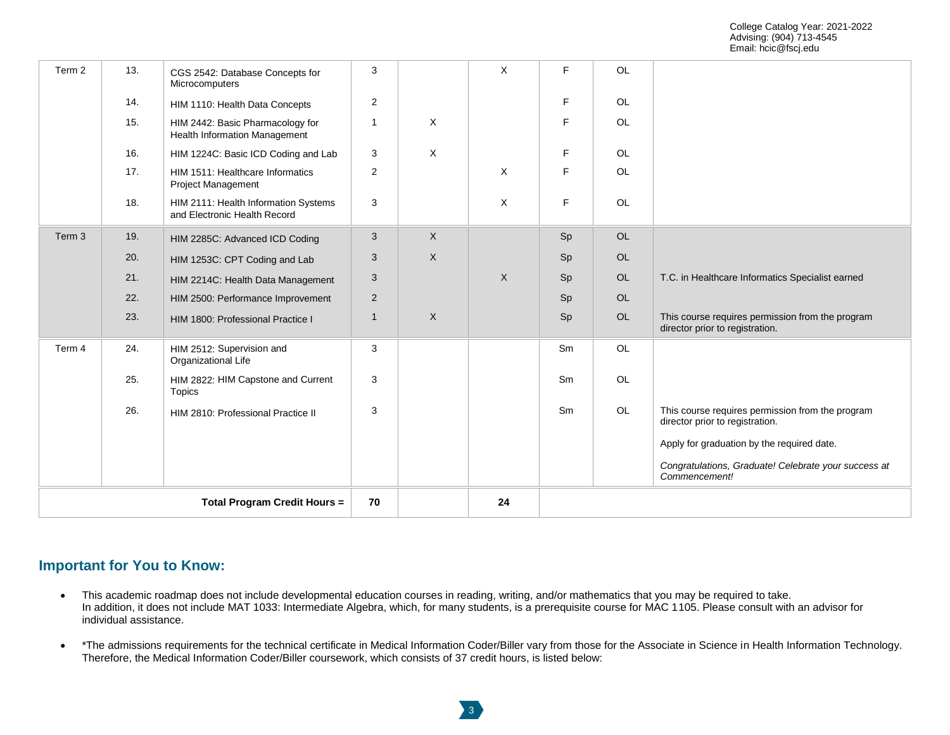| 23.<br>24.<br>25.<br>26. | HIM 1800: Professional Practice I<br>HIM 2512: Supervision and<br>Organizational Life<br>HIM 2822: HIM Capstone and Current<br>Topics<br>HIM 2810: Professional Practice II | $\overline{1}$<br>3<br>3<br>3 | $\sf X$      |              | Sp<br>Sm<br>Sm<br>Sm | OL<br><b>OL</b><br>OL<br><b>OL</b> | This course requires permission from the program<br>director prior to registration.<br>This course requires permission from the program<br>director prior to registration.<br>Apply for graduation by the required date.<br>Congratulations, Graduate! Celebrate your success at<br>Commencement! |
|--------------------------|-----------------------------------------------------------------------------------------------------------------------------------------------------------------------------|-------------------------------|--------------|--------------|----------------------|------------------------------------|---------------------------------------------------------------------------------------------------------------------------------------------------------------------------------------------------------------------------------------------------------------------------------------------------|
|                          |                                                                                                                                                                             |                               |              |              |                      |                                    |                                                                                                                                                                                                                                                                                                   |
|                          |                                                                                                                                                                             |                               |              |              |                      |                                    |                                                                                                                                                                                                                                                                                                   |
|                          |                                                                                                                                                                             |                               |              |              |                      |                                    |                                                                                                                                                                                                                                                                                                   |
|                          |                                                                                                                                                                             |                               |              |              |                      |                                    |                                                                                                                                                                                                                                                                                                   |
|                          |                                                                                                                                                                             |                               |              |              |                      |                                    |                                                                                                                                                                                                                                                                                                   |
|                          |                                                                                                                                                                             |                               |              |              |                      |                                    |                                                                                                                                                                                                                                                                                                   |
| 22.                      | HIM 2500: Performance Improvement                                                                                                                                           | $\overline{2}$                |              |              | Sp                   | OL                                 |                                                                                                                                                                                                                                                                                                   |
| 21.                      | HIM 2214C: Health Data Management                                                                                                                                           | 3                             |              | $\times$     | Sp                   | <b>OL</b>                          | T.C. in Healthcare Informatics Specialist earned                                                                                                                                                                                                                                                  |
| 20.                      | HIM 1253C: CPT Coding and Lab                                                                                                                                               | 3                             | $\sf X$      |              | Sp                   | OL                                 |                                                                                                                                                                                                                                                                                                   |
| 19.                      | HIM 2285C: Advanced ICD Coding                                                                                                                                              | 3                             | $\mathsf{X}$ |              | Sp                   | <b>OL</b>                          |                                                                                                                                                                                                                                                                                                   |
| 18.                      | HIM 2111: Health Information Systems<br>and Electronic Health Record                                                                                                        | 3                             |              | $\times$     | F                    | <b>OL</b>                          |                                                                                                                                                                                                                                                                                                   |
| 17.                      | HIM 1511: Healthcare Informatics<br><b>Project Management</b>                                                                                                               | 2                             |              | X            | F                    | <b>OL</b>                          |                                                                                                                                                                                                                                                                                                   |
| 16.                      | HIM 1224C: Basic ICD Coding and Lab                                                                                                                                         | 3                             | X            |              | F                    | OL                                 |                                                                                                                                                                                                                                                                                                   |
| 15.                      | HIM 2442: Basic Pharmacology for<br><b>Health Information Management</b>                                                                                                    | -1                            | $\times$     |              | F                    | OL                                 |                                                                                                                                                                                                                                                                                                   |
| 14.                      | HIM 1110: Health Data Concepts                                                                                                                                              | 2                             |              |              | F                    | <b>OL</b>                          |                                                                                                                                                                                                                                                                                                   |
|                          | CGS 2542: Database Concepts for<br>Microcomputers                                                                                                                           | 3                             |              | $\mathsf{X}$ | F                    | <b>OL</b>                          |                                                                                                                                                                                                                                                                                                   |
|                          | 13.                                                                                                                                                                         |                               |              |              |                      |                                    |                                                                                                                                                                                                                                                                                                   |

### **Important for You to Know:**

- This academic roadmap does not include developmental education courses in reading, writing, and/or mathematics that you may be required to take. In addition, it does not include MAT 1033: Intermediate Algebra, which, for many students, is a prerequisite course for MAC 1105. Please consult with an advisor for individual assistance.
- \*The admissions requirements for the technical certificate in Medical Information Coder/Biller vary from those for the Associate in Science in Health Information Technology. Therefore, the Medical Information Coder/Biller coursework, which consists of 37 credit hours, is listed below:

3